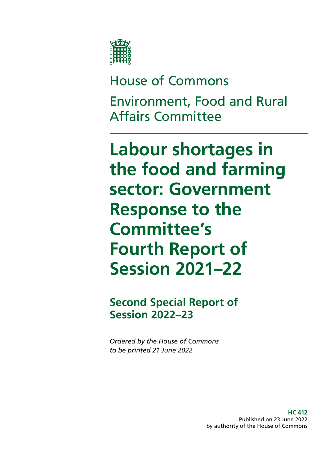

# House of Commons Environment, Food and Rural Affairs Committee

**Labour shortages in the food and farming sector: Government Response to the Committee's Fourth Report of Session 2021–22**

**Second Special Report of Session 2022–23**

*Ordered by the House of Commons to be printed 21 June 2022*

> **HC 412** Published on 23 June 2022 by authority of the House of Commons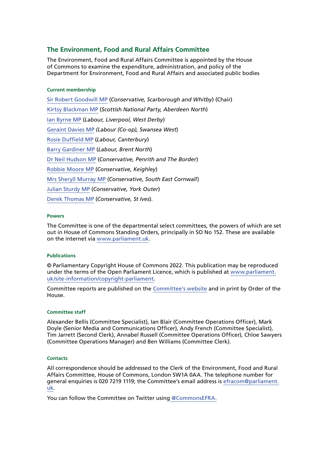## **The Environment, Food and Rural Affairs Committee**

The Environment, Food and Rural Affairs Committee is appointed by the House of Commons to examine the expenditure, administration, and policy of the Department for Environment, Food and Rural Affairs and associated public bodies

#### **Current membership**

[Sir Robert Goodwill MP](https://members.parliament.uk/member/1562/contact) (*Conservative, Scarborough and Whitby*) (Chair) [Kirtsy Blackman MP](https://members.parliament.uk/member/4357/contact) (*Scottish National Party, Aberdeen North*) [Ian Byrne MP](https://members.parliament.uk/member/4831/contact) (*Labour, Liverpool, West Derby*) [Geraint Davies MP](https://members.parliament.uk/member/155/contact) *(Labour (Co-op), Swansea West*) [Rosie Duffield MP](https://members.parliament.uk/member/4616/contact) (*Labour, Canterbury*) [Barry Gardiner MP](https://members.parliament.uk/member/146/contact) (*Labour, Brent North*) [Dr Neil Hudson MP](https://members.parliament.uk/member/4853/contact) (*Conservative, Penrith and The Border*) [Robbie Moore MP](https://members.parliament.uk/member/4861/contact) (*Conservative, Keighley*) [Mrs Sheryll Murray MP](https://members.parliament.uk/member/4100/contact) (*Conservative, South East Cornwall*) [Julian Sturdy MP](https://members.parliament.uk/member/4079/contact) (*Conservative, York Outer*) [Derek Thomas MP](https://members.parliament.uk/member/4532/contact) (*Conservative, St Ives*).

#### **Powers**

The Committee is one of the departmental select committees, the powers of which are set out in House of Commons Standing Orders, principally in SO No 152. These are available on the internet via [www.parliament.uk.](http://www.parliament.uk)

#### **Publications**

© Parliamentary Copyright House of Commons 2022. This publication may be reproduced under the terms of the Open Parliament Licence, which is published at [www.parliament.](https://www.parliament.uk/site-information/copyright-parliament/) [uk/site-information/copyright-parliament](https://www.parliament.uk/site-information/copyright-parliament/).

Committee reports are published on the [Committee's website](https://committees.parliament.uk/committee/52/environment-food-and-rural-affairs-committee) and in print by Order of the House.

#### **Committee staff**

Alexander Bellis (Committee Specialist), Ian Blair (Committee Operations Officer), Mark Doyle (Senior Media and Communications Officer), Andy French (Committee Specialist), Tim Jarrett (Second Clerk), Annabel Russell (Committee Operations Officer), Chloe Sawyers (Committee Operations Manager) and Ben Williams (Committee Clerk).

#### **Contacts**

All correspondence should be addressed to the Clerk of the Environment, Food and Rural Affairs Committee, House of Commons, London SW1A 0AA. The telephone number for general enquiries is 020 7219 1119; the Committee's email address is [efracom@parliament.](mailto:efracom%40parliament.uk?subject=) [uk.](mailto:efracom%40parliament.uk?subject=)

You can follow the Committee on Twitter using [@CommonsEFRA.](http://twitter.com/CommonsEFRA)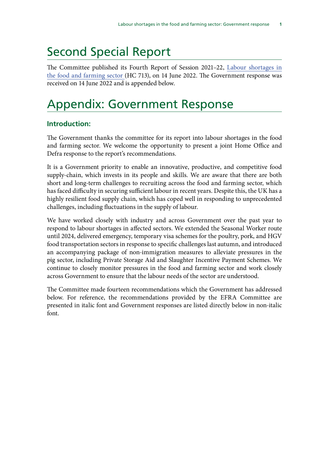## Second Special Report

The Committee published its Fourth Report of Session 2021–22, [Labour shortages in](https://publications.parliament.uk/pa/cm5802/cmselect/cmenvfru/713/report.html) [the food and farming sector](https://publications.parliament.uk/pa/cm5802/cmselect/cmenvfru/713/report.html) (HC 713), on 14 June 2022. The Government response was received on 14 June 2022 and is appended below.

## Appendix: Government Response

## **Introduction:**

The Government thanks the committee for its report into labour shortages in the food and farming sector. We welcome the opportunity to present a joint Home Office and Defra response to the report's recommendations.

It is a Government priority to enable an innovative, productive, and competitive food supply-chain, which invests in its people and skills. We are aware that there are both short and long-term challenges to recruiting across the food and farming sector, which has faced difficulty in securing sufficient labour in recent years. Despite this, the UK has a highly resilient food supply chain, which has coped well in responding to unprecedented challenges, including fluctuations in the supply of labour.

We have worked closely with industry and across Government over the past year to respond to labour shortages in affected sectors. We extended the Seasonal Worker route until 2024, delivered emergency, temporary visa schemes for the poultry, pork, and HGV food transportation sectors in response to specific challenges last autumn, and introduced an accompanying package of non-immigration measures to alleviate pressures in the pig sector, including Private Storage Aid and Slaughter Incentive Payment Schemes. We continue to closely monitor pressures in the food and farming sector and work closely across Government to ensure that the labour needs of the sector are understood.

The Committee made fourteen recommendations which the Government has addressed below. For reference, the recommendations provided by the EFRA Committee are presented in italic font and Government responses are listed directly below in non-italic font.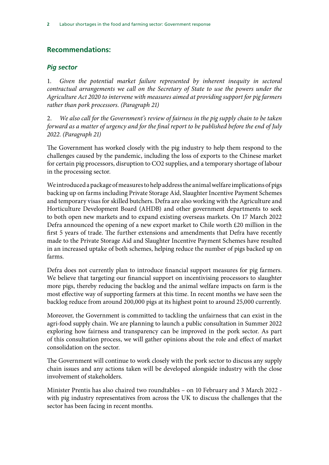## **Recommendations:**

### *Pig sector*

1. *Given the potential market failure represented by inherent inequity in sectoral contractual arrangements we call on the Secretary of State to use the powers under the Agriculture Act 2020 to intervene with measures aimed at providing support for pig farmers rather than pork processors. (Paragraph 21)*

2. *We also call for the Government's review of fairness in the pig supply chain to be taken forward as a matter of urgency and for the final report to be published before the end of July 2022. (Paragraph 21)*

The Government has worked closely with the pig industry to help them respond to the challenges caused by the pandemic, including the loss of exports to the Chinese market for certain pig processors, disruption to CO2 supplies, and a temporary shortage of labour in the processing sector.

We introduced a package of measures to help address the animal welfare implications of pigs backing up on farms including Private Storage Aid, Slaughter Incentive Payment Schemes and temporary visas for skilled butchers. Defra are also working with the Agriculture and Horticulture Development Board (AHDB) and other government departments to seek to both open new markets and to expand existing overseas markets. On 17 March 2022 Defra announced the opening of a new export market to Chile worth £20 million in the first 5 years of trade. The further extensions and amendments that Defra have recently made to the Private Storage Aid and Slaughter Incentive Payment Schemes have resulted in an increased uptake of both schemes, helping reduce the number of pigs backed up on farms.

Defra does not currently plan to introduce financial support measures for pig farmers. We believe that targeting our financial support on incentivising processors to slaughter more pigs, thereby reducing the backlog and the animal welfare impacts on farm is the most effective way of supporting farmers at this time. In recent months we have seen the backlog reduce from around 200,000 pigs at its highest point to around 25,000 currently.

Moreover, the Government is committed to tackling the unfairness that can exist in the agri-food supply chain. We are planning to launch a public consultation in Summer 2022 exploring how fairness and transparency can be improved in the pork sector. As part of this consultation process, we will gather opinions about the role and effect of market consolidation on the sector.

The Government will continue to work closely with the pork sector to discuss any supply chain issues and any actions taken will be developed alongside industry with the close involvement of stakeholders.

Minister Prentis has also chaired two roundtables – on 10 February and 3 March 2022 with pig industry representatives from across the UK to discuss the challenges that the sector has been facing in recent months.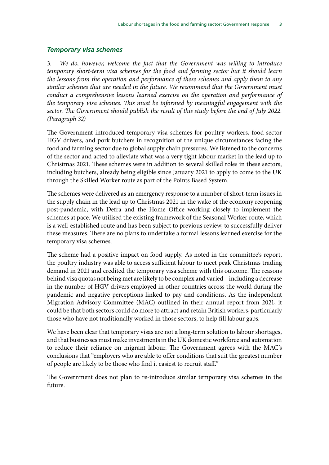#### *Temporary visa schemes*

3. *We do, however, welcome the fact that the Government was willing to introduce temporary short-term visa schemes for the food and farming sector but it should learn the lessons from the operation and performance of these schemes and apply them to any similar schemes that are needed in the future. We recommend that the Government must conduct a comprehensive lessons learned exercise on the operation and performance of the temporary visa schemes. This must be informed by meaningful engagement with the*  sector. The Government should publish the result of this study before the end of July 2022. *(Paragraph 32)*

The Government introduced temporary visa schemes for poultry workers, food-sector HGV drivers, and pork butchers in recognition of the unique circumstances facing the food and farming sector due to global supply chain pressures. We listened to the concerns of the sector and acted to alleviate what was a very tight labour market in the lead up to Christmas 2021. These schemes were in addition to several skilled roles in these sectors, including butchers, already being eligible since January 2021 to apply to come to the UK through the Skilled Worker route as part of the Points Based System.

The schemes were delivered as an emergency response to a number of short-term issues in the supply chain in the lead up to Christmas 2021 in the wake of the economy reopening post-pandemic, with Defra and the Home Office working closely to implement the schemes at pace. We utilised the existing framework of the Seasonal Worker route, which is a well-established route and has been subject to previous review, to successfully deliver these measures. There are no plans to undertake a formal lessons learned exercise for the temporary visa schemes.

The scheme had a positive impact on food supply. As noted in the committee's report, the poultry industry was able to access sufficient labour to meet peak Christmas trading demand in 2021 and credited the temporary visa scheme with this outcome. The reasons behind visa quotas not being met are likely to be complex and varied – including a decrease in the number of HGV drivers employed in other countries across the world during the pandemic and negative perceptions linked to pay and conditions. As the independent Migration Advisory Committee (MAC) outlined in their annual report from 2021, it could be that both sectors could do more to attract and retain British workers, particularly those who have not traditionally worked in those sectors, to help fill labour gaps.

We have been clear that temporary visas are not a long-term solution to labour shortages, and that businesses must make investments in the UK domestic workforce and automation to reduce their reliance on migrant labour. The Government agrees with the MAC's conclusions that "employers who are able to offer conditions that suit the greatest number of people are likely to be those who find it easiest to recruit staff."

The Government does not plan to re-introduce similar temporary visa schemes in the future.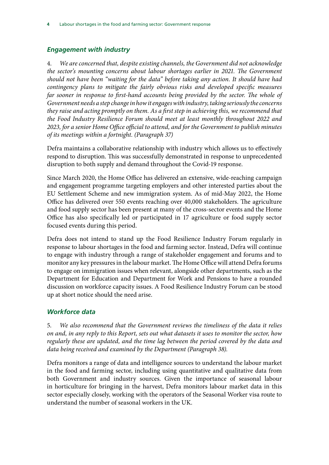## *Engagement with industry*

4. *We are concerned that, despite existing channels, the Government did not acknowledge the sector's mounting concerns about labour shortages earlier in 2021. The Government should not have been "waiting for the data" before taking any action. It should have had contingency plans to mitigate the fairly obvious risks and developed specific measures far sooner in response to first-hand accounts being provided by the sector. The whole of Government needs a step change in how it engages with industry, taking seriously the concerns they raise and acting promptly on them. As a first step in achieving this, we recommend that the Food Industry Resilience Forum should meet at least monthly throughout 2022 and 2023, for a senior Home Office official to attend, and for the Government to publish minutes of its meetings within a fortnight. (Paragraph 37)*

Defra maintains a collaborative relationship with industry which allows us to effectively respond to disruption. This was successfully demonstrated in response to unprecedented disruption to both supply and demand throughout the Covid-19 response.

Since March 2020, the Home Office has delivered an extensive, wide-reaching campaign and engagement programme targeting employers and other interested parties about the EU Settlement Scheme and new immigration system. As of mid-May 2022, the Home Office has delivered over 550 events reaching over 40,000 stakeholders. The agriculture and food supply sector has been present at many of the cross-sector events and the Home Office has also specifically led or participated in 17 agriculture or food supply sector focused events during this period.

Defra does not intend to stand up the Food Resilience Industry Forum regularly in response to labour shortages in the food and farming sector. Instead, Defra will continue to engage with industry through a range of stakeholder engagement and forums and to monitor any key pressures in the labour market. The Home Office will attend Defra forums to engage on immigration issues when relevant, alongside other departments, such as the Department for Education and Department for Work and Pensions to have a rounded discussion on workforce capacity issues. A Food Resilience Industry Forum can be stood up at short notice should the need arise.

## *Workforce data*

5. *We also recommend that the Government reviews the timeliness of the data it relies on and, in any reply to this Report, sets out what datasets it uses to monitor the sector, how regularly these are updated, and the time lag between the period covered by the data and data being received and examined by the Department (Paragraph 38).*

Defra monitors a range of data and intelligence sources to understand the labour market in the food and farming sector, including using quantitative and qualitative data from both Government and industry sources. Given the importance of seasonal labour in horticulture for bringing in the harvest, Defra monitors labour market data in this sector especially closely, working with the operators of the Seasonal Worker visa route to understand the number of seasonal workers in the UK.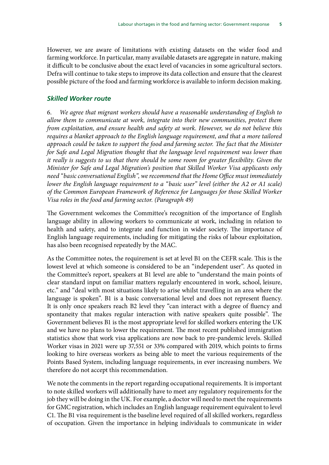However, we are aware of limitations with existing datasets on the wider food and farming workforce. In particular, many available datasets are aggregate in nature, making it difficult to be conclusive about the exact level of vacancies in some agricultural sectors. Defra will continue to take steps to improve its data collection and ensure that the clearest possible picture of the food and farming workforce is available to inform decision making.

#### *Skilled Worker route*

6. *We agree that migrant workers should have a reasonable understanding of English to allow them to communicate at work, integrate into their new communities, protect them from exploitation, and ensure health and safety at work. However, we do not believe this requires a blanket approach to the English language requirement, and that a more tailored approach could be taken to support the food and farming sector. The fact that the Minister for Safe and Legal Migration thought that the language level requirement was lower than it really is suggests to us that there should be some room for greater flexibility. Given the Minister for Safe and Legal Migration's position that Skilled Worker Visa applicants only need "basic conversational English", we recommend that the Home Office must immediately lower the English language requirement to a "basic user" level (either the A2 or A1 scale) of the Common European Framework of Reference for Languages for those Skilled Worker Visa roles in the food and farming sector. (Paragraph 49)*

The Government welcomes the Committee's recognition of the importance of English language ability in allowing workers to communicate at work, including in relation to health and safety, and to integrate and function in wider society. The importance of English language requirements, including for mitigating the risks of labour exploitation, has also been recognised repeatedly by the MAC.

As the Committee notes, the requirement is set at level B1 on the CEFR scale. This is the lowest level at which someone is considered to be an "independent user". As quoted in the Committee's report, speakers at B1 level are able to "understand the main points of clear standard input on familiar matters regularly encountered in work, school, leisure, etc." and "deal with most situations likely to arise whilst travelling in an area where the language is spoken". B1 is a basic conversational level and does not represent fluency. It is only once speakers reach B2 level they "can interact with a degree of fluency and spontaneity that makes regular interaction with native speakers quite possible". The Government believes B1 is the most appropriate level for skilled workers entering the UK and we have no plans to lower the requirement. The most recent published immigration statistics show that work visa applications are now back to pre-pandemic levels. Skilled Worker visas in 2021 were up 37,551 or 33% compared with 2019, which points to firms looking to hire overseas workers as being able to meet the various requirements of the Points Based System, including language requirements, in ever increasing numbers. We therefore do not accept this recommendation.

We note the comments in the report regarding occupational requirements. It is important to note skilled workers will additionally have to meet any regulatory requirements for the job they will be doing in the UK. For example, a doctor will need to meet the requirements for GMC registration, which includes an English language requirement equivalent to level C1. The B1 visa requirement is the baseline level required of all skilled workers, regardless of occupation. Given the importance in helping individuals to communicate in wider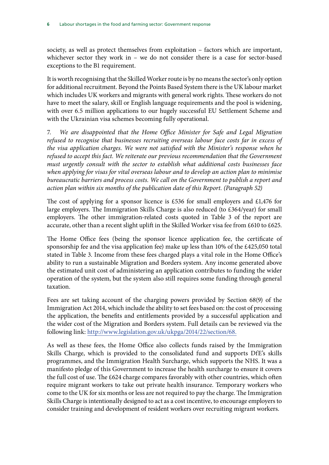society, as well as protect themselves from exploitation – factors which are important, whichever sector they work in – we do not consider there is a case for sector-based exceptions to the B1 requirement.

It is worth recognising that the Skilled Worker route is by no means the sector's only option for additional recruitment. Beyond the Points Based System there is the UK labour market which includes UK workers and migrants with general work rights. These workers do not have to meet the salary, skill or English language requirements and the pool is widening, with over 6.5 million applications to our hugely successful EU Settlement Scheme and with the Ukrainian visa schemes becoming fully operational.

7. *We are disappointed that the Home Office Minister for Safe and Legal Migration refused to recognise that businesses recruiting overseas labour face costs far in excess of the visa application charges. We were not satisfied with the Minister's response when he refused to accept this fact. We reiterate our previous recommendation that the Government must urgently consult with the sector to establish what additional costs businesses face when applying for visas for vital overseas labour and to develop an action plan to minimise bureaucratic barriers and process costs. We call on the Government to publish a report and action plan within six months of the publication date of this Report. (Paragraph 52)*

The cost of applying for a sponsor licence is £536 for small employers and £1,476 for large employers. The Immigration Skills Charge is also reduced (to £364/year) for small employers. The other immigration-related costs quoted in Table 3 of the report are accurate, other than a recent slight uplift in the Skilled Worker visa fee from £610 to £625.

The Home Office fees (being the sponsor licence application fee, the certificate of sponsorship fee and the visa application fee) make up less than 10% of the £425,050 total stated in Table 3. Income from these fees charged plays a vital role in the Home Office's ability to run a sustainable Migration and Borders system. Any income generated above the estimated unit cost of administering an application contributes to funding the wider operation of the system, but the system also still requires some funding through general taxation.

Fees are set taking account of the charging powers provided by Section 68(9) of the Immigration Act 2014, which include the ability to set fees based on: the cost of processing the application, the benefits and entitlements provided by a successful application and the wider cost of the Migration and Borders system. Full details can be reviewed via the following link:<http://www.legislation.gov.uk/ukpga/2014/22/section/68.>

As well as these fees, the Home Office also collects funds raised by the Immigration Skills Charge, which is provided to the consolidated fund and supports DfE's skills programmes, and the Immigration Health Surcharge, which supports the NHS. It was a manifesto pledge of this Government to increase the health surcharge to ensure it covers the full cost of use. The £624 charge compares favorably with other countries, which often require migrant workers to take out private health insurance. Temporary workers who come to the UK for six months or less are not required to pay the charge. The Immigration Skills Charge is intentionally designed to act as a cost incentive, to encourage employers to consider training and development of resident workers over recruiting migrant workers.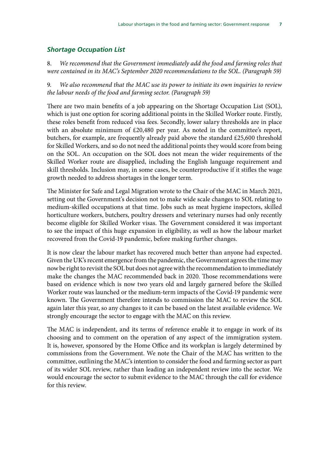#### *Shortage Occupation List*

8. *We recommend that the Government immediately add the food and farming roles that were contained in its MAC's September 2020 recommendations to the SOL. (Paragraph 59)*

9. *We also recommend that the MAC use its power to initiate its own inquiries to review the labour needs of the food and farming sector. (Paragraph 59)*

There are two main benefits of a job appearing on the Shortage Occupation List (SOL), which is just one option for scoring additional points in the Skilled Worker route. Firstly, these roles benefit from reduced visa fees. Secondly, lower salary thresholds are in place with an absolute minimum of £20,480 per year. As noted in the committee's report, butchers, for example, are frequently already paid above the standard £25,600 threshold for Skilled Workers, and so do not need the additional points they would score from being on the SOL. An occupation on the SOL does not mean the wider requirements of the Skilled Worker route are disapplied, including the English language requirement and skill thresholds. Inclusion may, in some cases, be counterproductive if it stifles the wage growth needed to address shortages in the longer term.

The Minister for Safe and Legal Migration wrote to the Chair of the MAC in March 2021, setting out the Government's decision not to make wide scale changes to SOL relating to medium-skilled occupations at that time. Jobs such as meat hygiene inspectors, skilled horticulture workers, butchers, poultry dressers and veterinary nurses had only recently become eligible for Skilled Worker visas. The Government considered it was important to see the impact of this huge expansion in eligibility, as well as how the labour market recovered from the Covid-19 pandemic, before making further changes.

It is now clear the labour market has recovered much better than anyone had expected. Given the UK's recent emergence from the pandemic, the Government agrees the time may now be right to revisit the SOL but does not agree with the recommendation to immediately make the changes the MAC recommended back in 2020. Those recommendations were based on evidence which is now two years old and largely garnered before the Skilled Worker route was launched or the medium-term impacts of the Covid-19 pandemic were known. The Government therefore intends to commission the MAC to review the SOL again later this year, so any changes to it can be based on the latest available evidence. We strongly encourage the sector to engage with the MAC on this review.

The MAC is independent, and its terms of reference enable it to engage in work of its choosing and to comment on the operation of any aspect of the immigration system. It is, however, sponsored by the Home Office and its workplan is largely determined by commissions from the Government. We note the Chair of the MAC has written to the committee, outlining the MAC's intention to consider the food and farming sector as part of its wider SOL review, rather than leading an independent review into the sector. We would encourage the sector to submit evidence to the MAC through the call for evidence for this review.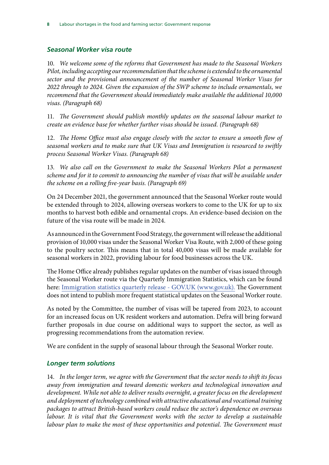### *Seasonal Worker visa route*

10. *We welcome some of the reforms that Government has made to the Seasonal Workers Pilot, including accepting our recommendation that the scheme is extended to the ornamental sector and the provisional announcement of the number of Seasonal Worker Visas for 2022 through to 2024. Given the expansion of the SWP scheme to include ornamentals, we recommend that the Government should immediately make available the additional 10,000 visas. (Paragraph 68)*

11. *The Government should publish monthly updates on the seasonal labour market to create an evidence base for whether further visas should be issued. (Paragraph 68)*

12. *The Home Office must also engage closely with the sector to ensure a smooth flow of seasonal workers and to make sure that UK Visas and Immigration is resourced to swiftly process Seasonal Worker Visas. (Paragraph 68)*

13. *We also call on the Government to make the Seasonal Workers Pilot a permanent scheme and for it to commit to announcing the number of visas that will be available under the scheme on a rolling five-year basis. (Paragraph 69)*

On 24 December 2021, the government announced that the Seasonal Worker route would be extended through to 2024, allowing overseas workers to come to the UK for up to six months to harvest both edible and ornamental crops. An evidence-based decision on the future of the visa route will be made in 2024.

As announced in the Government Food Strategy, the government will release the additional provision of 10,000 visas under the Seasonal Worker Visa Route, with 2,000 of these going to the poultry sector. This means that in total 40,000 visas will be made available for seasonal workers in 2022, providing labour for food businesses across the UK.

The Home Office already publishes regular updates on the number of visas issued through the Seasonal Worker route via the Quarterly Immigration Statistics, which can be found here: [Immigration statistics quarterly release - GOV.UK \(www.gov.uk\).](https://gbr01.safelinks.protection.outlook.com/?url=https%3A%2F%2Fwww.gov.uk%2Fgovernment%2Fcollections%2Fimmigration-statistics-quarterly-release&data=05%7C01%7CLauraJayne.Palmer1%40homeoffice.gov.uk%7C722963d3fea64446645d08da2d160644%7Cf24d93ecb2914192a08af182245945c2%7C0%7C0%7C637871869857825194%7CUnknown%7CTWFpbGZsb3d8eyJWIjoiMC4wLjAwMDAiLCJQIjoiV2luMzIiLCJBTiI6Ik1haWwiLCJXVCI6Mn0%3D%7C3000%7C%7C%7C&sdata=fnXQtQ8WXzRlaSOh9mBqyJrKCXoQML%2Br1N%2Bd5LCoZtI%3D&reserved=0) The Government does not intend to publish more frequent statistical updates on the Seasonal Worker route.

As noted by the Committee, the number of visas will be tapered from 2023, to account for an increased focus on UK resident workers and automation. Defra will bring forward further proposals in due course on additional ways to support the sector, as well as progressing recommendations from the automation review.

We are confident in the supply of seasonal labour through the Seasonal Worker route.

## *Longer term solutions*

14. *In the longer term, we agree with the Government that the sector needs to shift its focus away from immigration and toward domestic workers and technological innovation and development. While not able to deliver results overnight, a greater focus on the development and deployment of technology combined with attractive educational and vocational training packages to attract British-based workers could reduce the sector's dependence on overseas labour. It is vital that the Government works with the sector to develop a sustainable*  labour plan to make the most of these opportunities and potential. The Government must